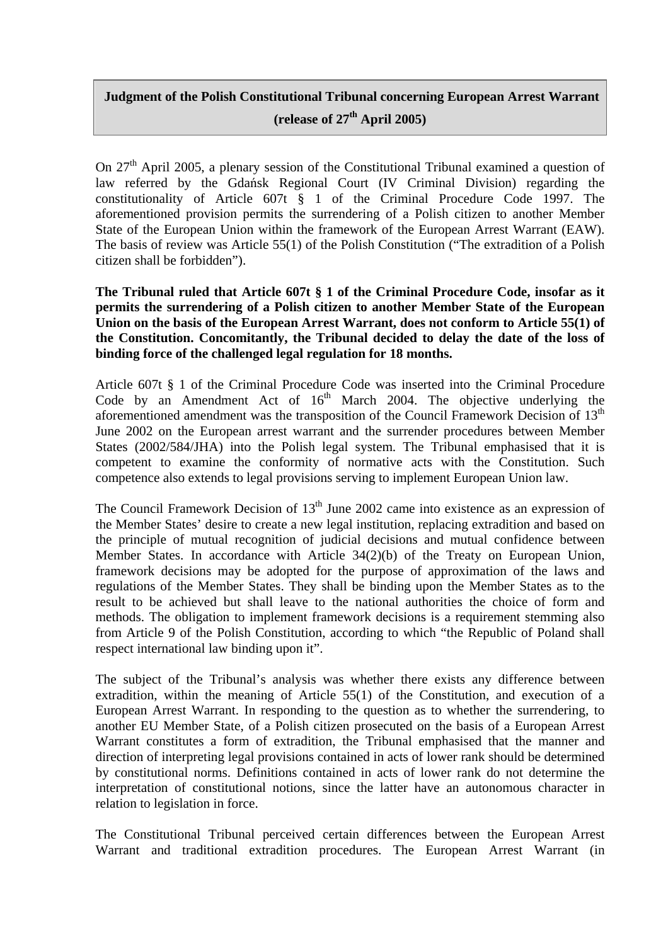## **Judgment of the Polish Constitutional Tribunal concerning European Arrest Warrant (release of 27th April 2005)**

On 27<sup>th</sup> April 2005, a plenary session of the Constitutional Tribunal examined a question of law referred by the Gdańsk Regional Court (IV Criminal Division) regarding the constitutionality of Article 607t § 1 of the Criminal Procedure Code 1997. The aforementioned provision permits the surrendering of a Polish citizen to another Member State of the European Union within the framework of the European Arrest Warrant (EAW). The basis of review was Article 55(1) of the Polish Constitution ("The extradition of a Polish citizen shall be forbidden").

**The Tribunal ruled that Article 607t § 1 of the Criminal Procedure Code, insofar as it permits the surrendering of a Polish citizen to another Member State of the European Union on the basis of the European Arrest Warrant, does not conform to Article 55(1) of the Constitution. Concomitantly, the Tribunal decided to delay the date of the loss of binding force of the challenged legal regulation for 18 months.** 

Article 607t § 1 of the Criminal Procedure Code was inserted into the Criminal Procedure Code by an Amendment Act of  $16<sup>th</sup>$  March 2004. The objective underlying the aforementioned amendment was the transposition of the Council Framework Decision of  $13<sup>th</sup>$ June 2002 on the European arrest warrant and the surrender procedures between Member States (2002/584/JHA) into the Polish legal system. The Tribunal emphasised that it is competent to examine the conformity of normative acts with the Constitution. Such competence also extends to legal provisions serving to implement European Union law.

The Council Framework Decision of  $13<sup>th</sup>$  June 2002 came into existence as an expression of the Member States' desire to create a new legal institution, replacing extradition and based on the principle of mutual recognition of judicial decisions and mutual confidence between Member States. In accordance with Article 34(2)(b) of the Treaty on European Union, framework decisions may be adopted for the purpose of approximation of the laws and regulations of the Member States. They shall be binding upon the Member States as to the result to be achieved but shall leave to the national authorities the choice of form and methods. The obligation to implement framework decisions is a requirement stemming also from Article 9 of the Polish Constitution, according to which "the Republic of Poland shall respect international law binding upon it".

The subject of the Tribunal's analysis was whether there exists any difference between extradition, within the meaning of Article 55(1) of the Constitution, and execution of a European Arrest Warrant. In responding to the question as to whether the surrendering, to another EU Member State, of a Polish citizen prosecuted on the basis of a European Arrest Warrant constitutes a form of extradition, the Tribunal emphasised that the manner and direction of interpreting legal provisions contained in acts of lower rank should be determined by constitutional norms. Definitions contained in acts of lower rank do not determine the interpretation of constitutional notions, since the latter have an autonomous character in relation to legislation in force.

The Constitutional Tribunal perceived certain differences between the European Arrest Warrant and traditional extradition procedures. The European Arrest Warrant (in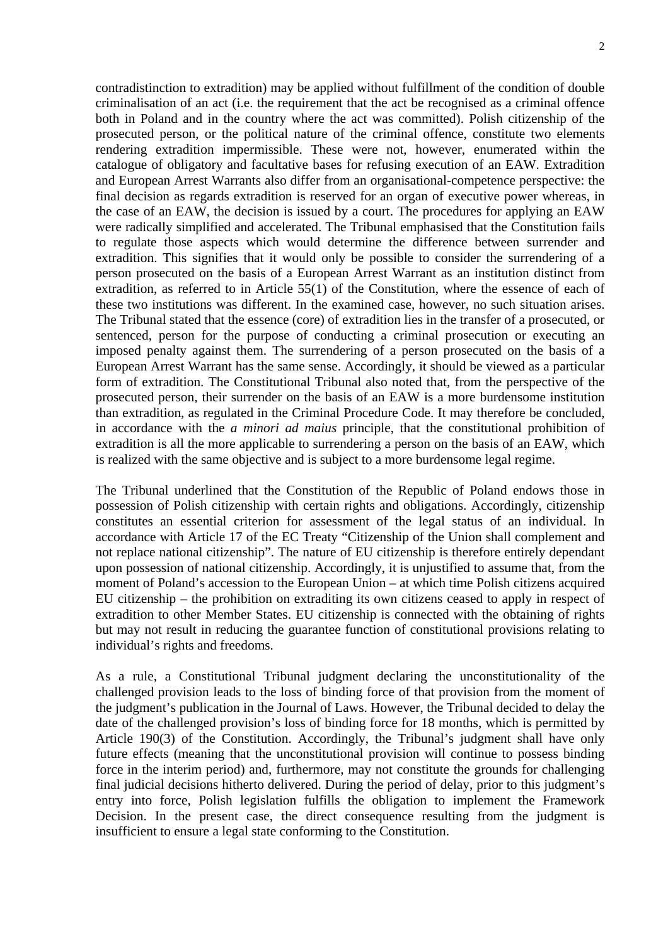contradistinction to extradition) may be applied without fulfillment of the condition of double criminalisation of an act (i.e. the requirement that the act be recognised as a criminal offence both in Poland and in the country where the act was committed). Polish citizenship of the prosecuted person, or the political nature of the criminal offence, constitute two elements rendering extradition impermissible. These were not, however, enumerated within the catalogue of obligatory and facultative bases for refusing execution of an EAW. Extradition and European Arrest Warrants also differ from an organisational-competence perspective: the final decision as regards extradition is reserved for an organ of executive power whereas, in the case of an EAW, the decision is issued by a court. The procedures for applying an EAW were radically simplified and accelerated. The Tribunal emphasised that the Constitution fails to regulate those aspects which would determine the difference between surrender and extradition. This signifies that it would only be possible to consider the surrendering of a person prosecuted on the basis of a European Arrest Warrant as an institution distinct from extradition, as referred to in Article 55(1) of the Constitution, where the essence of each of these two institutions was different. In the examined case, however, no such situation arises. The Tribunal stated that the essence (core) of extradition lies in the transfer of a prosecuted, or sentenced, person for the purpose of conducting a criminal prosecution or executing an imposed penalty against them. The surrendering of a person prosecuted on the basis of a European Arrest Warrant has the same sense. Accordingly, it should be viewed as a particular form of extradition. The Constitutional Tribunal also noted that, from the perspective of the prosecuted person, their surrender on the basis of an EAW is a more burdensome institution than extradition, as regulated in the Criminal Procedure Code. It may therefore be concluded, in accordance with the *a minori ad maius* principle, that the constitutional prohibition of extradition is all the more applicable to surrendering a person on the basis of an EAW, which is realized with the same objective and is subject to a more burdensome legal regime.

The Tribunal underlined that the Constitution of the Republic of Poland endows those in possession of Polish citizenship with certain rights and obligations. Accordingly, citizenship constitutes an essential criterion for assessment of the legal status of an individual. In accordance with Article 17 of the EC Treaty "Citizenship of the Union shall complement and not replace national citizenship". The nature of EU citizenship is therefore entirely dependant upon possession of national citizenship. Accordingly, it is unjustified to assume that, from the moment of Poland's accession to the European Union – at which time Polish citizens acquired EU citizenship – the prohibition on extraditing its own citizens ceased to apply in respect of extradition to other Member States. EU citizenship is connected with the obtaining of rights but may not result in reducing the guarantee function of constitutional provisions relating to individual's rights and freedoms.

As a rule, a Constitutional Tribunal judgment declaring the unconstitutionality of the challenged provision leads to the loss of binding force of that provision from the moment of the judgment's publication in the Journal of Laws. However, the Tribunal decided to delay the date of the challenged provision's loss of binding force for 18 months, which is permitted by Article 190(3) of the Constitution. Accordingly, the Tribunal's judgment shall have only future effects (meaning that the unconstitutional provision will continue to possess binding force in the interim period) and, furthermore, may not constitute the grounds for challenging final judicial decisions hitherto delivered. During the period of delay, prior to this judgment's entry into force, Polish legislation fulfills the obligation to implement the Framework Decision. In the present case, the direct consequence resulting from the judgment is insufficient to ensure a legal state conforming to the Constitution.